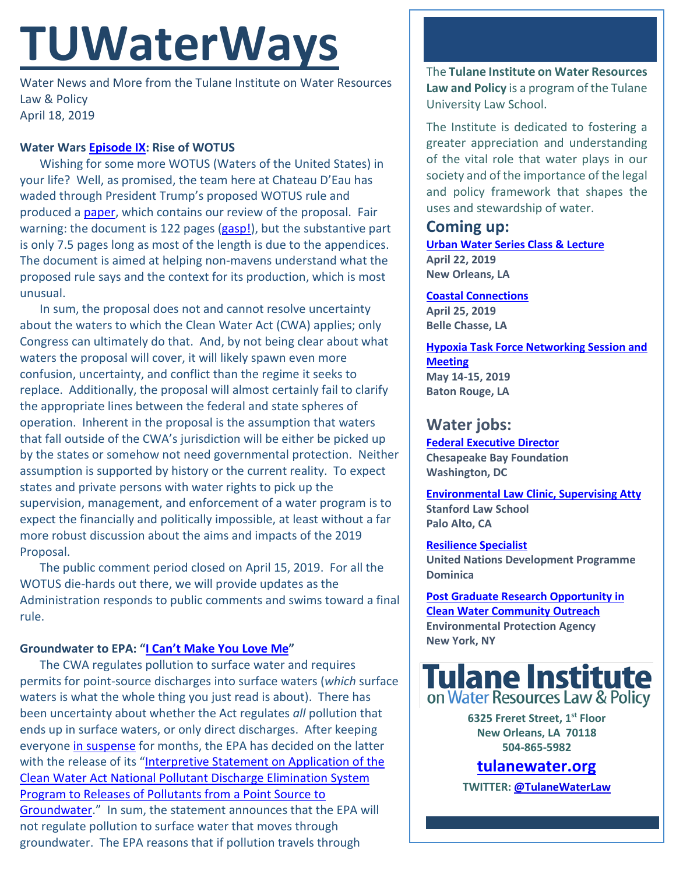# **TUWaterWays**

Water News and More from the Tulane Institute on Water Resources Law & Policy April 18, 2019

#### **Water Wars [Episode IX:](https://www.youtube.com/watch?v=adzYW5DZoWs) Rise of WOTUS**

Wishing for some more WOTUS (Waters of the United States) in your life? Well, as promised, the team here at Chateau D'Eau has waded through President Trump's proposed WOTUS rule and produced a [paper,](https://docs.wixstatic.com/ugd/32079b_c136a0836d184119b5cc0bf76e7bf928.pdf) which contains our review of the proposal. Fair warning: the document is 122 pages [\(gasp!\)](https://memegenerator.net/img/instances/45365185/so-many-words-so-much-reading.jpg), but the substantive part is only 7.5 pages long as most of the length is due to the appendices. The document is aimed at helping non-mavens understand what the proposed rule says and the context for its production, which is most unusual.

In sum, the proposal does not and cannot resolve uncertainty about the waters to which the Clean Water Act (CWA) applies; only Congress can ultimately do that. And, by not being clear about what waters the proposal will cover, it will likely spawn even more confusion, uncertainty, and conflict than the regime it seeks to replace. Additionally, the proposal will almost certainly fail to clarify the appropriate lines between the federal and state spheres of operation. Inherent in the proposal is the assumption that waters that fall outside of the CWA's jurisdiction will be either be picked up by the states or somehow not need governmental protection. Neither assumption is supported by history or the current reality. To expect states and private persons with water rights to pick up the supervision, management, and enforcement of a water program is to expect the financially and politically impossible, at least without a far more robust discussion about the aims and impacts of the 2019 Proposal.

The public comment period closed on April 15, 2019. For all the WOTUS die-hards out there, we will provide updates as the Administration responds to public comments and swims toward a final rule.

## **Groundwater to EPA: ["I Can't Make You Love Me"](https://www.youtube.com/watch?v=nW9Cu6GYqxo)**

The CWA regulates pollution to surface water and requires permits for point-source discharges into surface waters (*which* surface waters is what the whole thing you just read is about). There has been uncertainty about whether the Act regulates *all* pollution that ends up in surface waters, or only direct discharges. After keeping everyone [in suspense](https://docs.wixstatic.com/ugd/32079b_d6c9613e652141c69ec336078f3ba7a9.pdf) for months, the EPA has decided on the latter with the release of its ["Interpretive Statement on Application of the](https://www.epa.gov/sites/production/files/2019-04/documents/frn_interpretative_statement_on_application_of_cwa_npdes-signed.pdf)  [Clean Water Act National Pollutant Discharge Elimination System](https://www.epa.gov/sites/production/files/2019-04/documents/frn_interpretative_statement_on_application_of_cwa_npdes-signed.pdf)  [Program to Releases of Pollutants from a Point Source to](https://www.epa.gov/sites/production/files/2019-04/documents/frn_interpretative_statement_on_application_of_cwa_npdes-signed.pdf)  [Groundwater.](https://www.epa.gov/sites/production/files/2019-04/documents/frn_interpretative_statement_on_application_of_cwa_npdes-signed.pdf)" In sum, the statement announces that the EPA will not regulate pollution to surface water that moves through groundwater. The EPA reasons that if pollution travels through

The **Tulane Institute on Water Resources Law and Policy** is a program of the Tulane University Law School.

The Institute is dedicated to fostering a greater appreciation and understanding of the vital role that water plays in our society and of the importance of the legal and policy framework that shapes the uses and stewardship of water.

# **Coming up:**

**[Urban Water Series Class & Lecture](https://mailchi.mp/84a839004c18/register-now-for-urban-water-series-plants-water-strategies-for-improving-water-quality-april-22) April 22, 2019 New Orleans, LA**

**[Coastal Connections](http://coastal.la.gov/calendar/) April 25, 2019 Belle Chasse, LA**

**[Hypoxia Task Force Networking Session and](https://water-meetings.tetratech.com/Hypoxia/StaticPublic/index.htm)  [Meeting](https://water-meetings.tetratech.com/Hypoxia/StaticPublic/index.htm) May 14-15, 2019 Baton Rouge, LA**

# **Water jobs:**

**[Federal Executive Director](https://www.cbf.org/about-cbf/jobs-internships/jobs/federal-executive-director.html) Chesapeake Bay Foundation Washington, DC**

**[Environmental Law Clinic, Supervising Atty](https://careersearch.stanford.edu/jobs/environmental-law-clinic-clinical-supervising-attorney-stanford-law-school-6094?src=JB-10023) Stanford Law School Palo Alto, CA**

**[Resilience Specialist](https://jobs.undp.org/cj_view_job.cfm?cur_job_id=84635) United Nations Development Programme Dominica**

**[Post Graduate Research Opportunity in](https://www.zintellect.com/Opportunity/Details/EPA-REG2-2019-0012)  [Clean Water Community Outreach](https://www.zintellect.com/Opportunity/Details/EPA-REG2-2019-0012) Environmental Protection Agency New York, NY**



**6325 Freret Street, 1st Floor New Orleans, LA 70118 504-865-5982** 

# **tulanewater.org**

**TWITTER[: @TulaneWaterLaw](http://www.twitter.com/TulaneWaterLaw)**